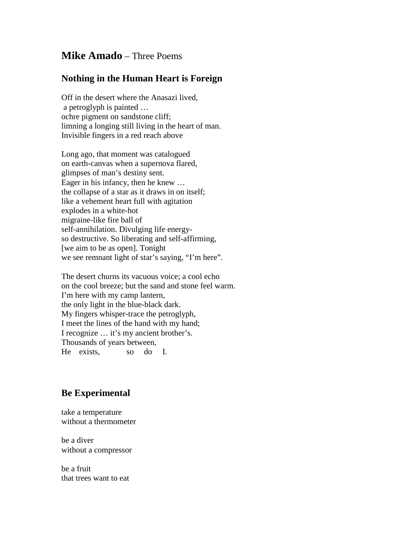## **Mike Amado** – Three Poems

## **Nothing in the Human Heart is Foreign**

Off in the desert where the Anasazi lived, a petroglyph is painted … ochre pigment on sandstone cliff; limning a longing still living in the heart of man. Invisible fingers in a red reach above

Long ago, that moment was catalogued on earth-canvas when a supernova flared, glimpses of man's destiny sent. Eager in his infancy, then he knew … the collapse of a star as it draws in on itself; like a vehement heart full with agitation explodes in a white-hot migraine-like fire ball of self-annihilation. Divulging life energyso destructive. So liberating and self-affirming, [we aim to be as open]. Tonight we see remnant light of star's saying, "I'm here".

The desert churns its vacuous voice; a cool echo on the cool breeze; but the sand and stone feel warm. I'm here with my camp lantern, the only light in the blue-black dark. My fingers whisper-trace the petroglyph, I meet the lines of the hand with my hand; I recognize … it's my ancient brother's. Thousands of years between, He exists, so do I.

## **Be Experimental**

take a temperature without a thermometer

be a diver without a compressor

be a fruit that trees want to eat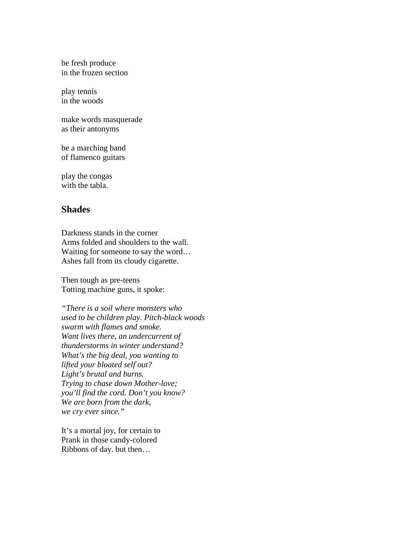be fresh produce in the frozen section

play tennis in the woods

make words masquerade as their antonyms

be a marching band of flamenco guitars

play the congas with the tabla.

## **Shades**

Darkness stands in the corner Arms folded and shoulders to the wall. Waiting for someone to say the word... Ashes fall from its cloudy cigarette.

Then tough as pre-teens Totting machine guns, it spoke:

*"There is a soil where monsters who used to be children play. Pitch-black woods swarm with flames and smoke. Want lives there, an undercurrent of thunderstorms in winter understand? What's the big deal, you wanting to lifted your bloated self out? Light's brutal and burns. Trying to chase down Mother-love; you'll find the cord. Don't you know? We are born from the dark, we cry ever since."*

It's a mortal joy, for certain to Prank in those candy-colored Ribbons of day. but then…